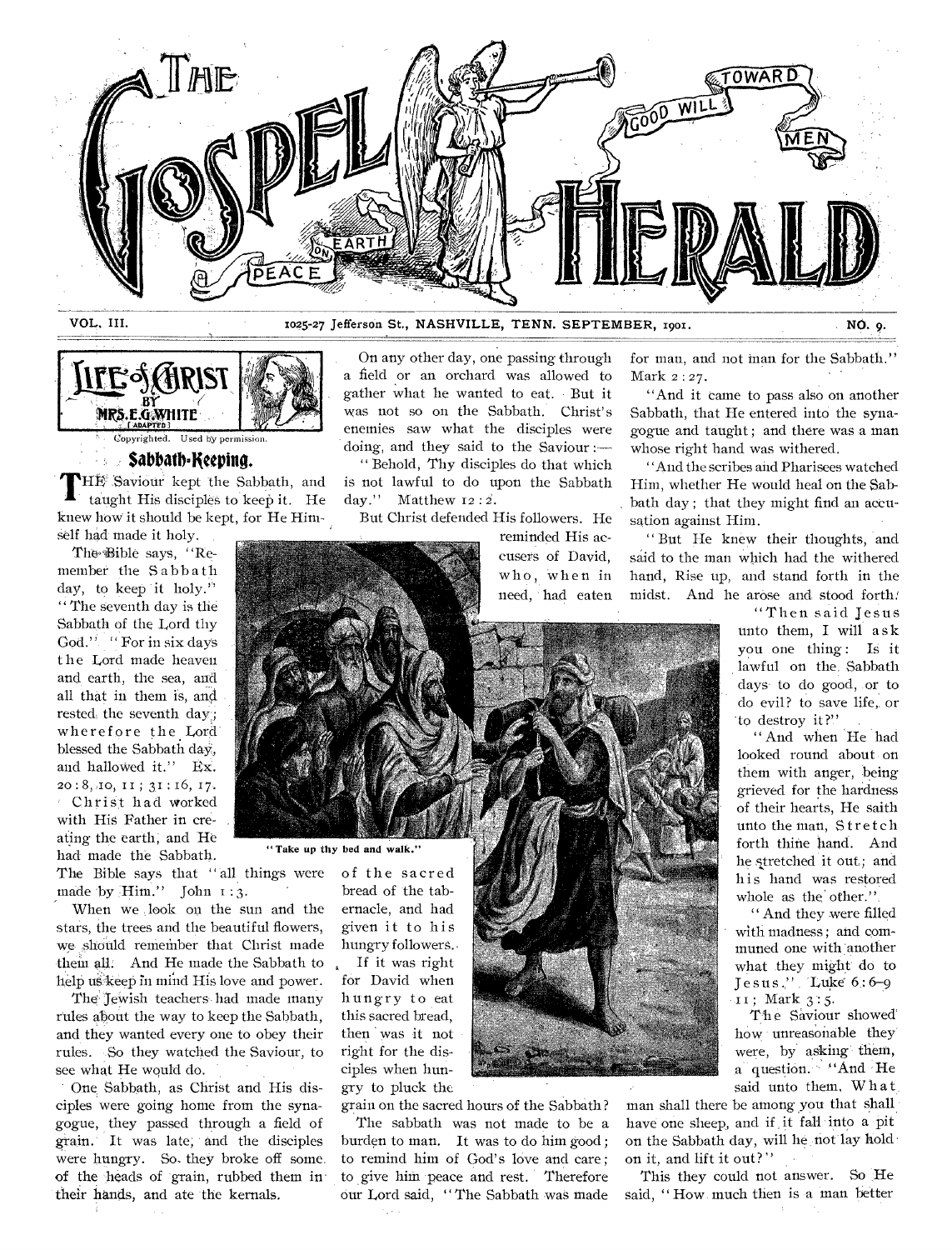



### **Sabbath-Keeping.**

**11"':** Saviotti kept 'the Sabbath, and taught His disciples to keep it. He knew how it should be kept, for He Himself had made it holy.

The Bible says, "Remember the Sabba th day, to keep it holy." " The seventh day is the Sabbath of the Lord thy God.", " For in six days the Lord made heaven and earth, the sea, and all that in them is, and rested; the seventh day wherefore the Lord blessed the Sabbath day, and hallowed it." Ex. 20 : 8, IO, II ; 31 : 16, 17. Christ had worked

with His Father in creating the earth, and He had made the Sabbath.

The Bible says that "all things were made by  $\text{Him."}$  John  $1:3$ .

When we :look on the sun and the stars, the trees and the beautiful flowers, we- should remember that Christ made them all. And He made the Sabbath to help us keep in mind His love and power.

The Jewish teachers had made many rules about the way to keep the Sabbath, and they wanted every one to obey their rules. So they watched the Saviour, to see what He would do.

One Sabbath, as Christ and His disciples were going home from the synagogue, they passed through a field of grain.' It was late; and the disciples were hungry. So. they broke off some. of the heads of grain, rubbed them in their hands, and ate the kernals.

On any other day, one passing through a field or an orchard was allowed to gather what he wanted to eat. But it was not so on the Sabbath. Christ's enemies saw what the disciples were doing, and they said to the Saviour :—

" Behold, Thy disciples do that which is not lawful to do upon the Sabbath day." Matthew 12:2.

But Christ defended His followers. He

reminded His accusers of David,



"Take up thy bed and walk."

of the sacred bread of the tabernacle, and had given it to his hungry followers.

If it was right for David when hungry to eat this sacred bread, then was it not right for the disciples when hungry to pluck the

grain on the sacred hours of the Sabbath ? The sabbath was not made to be a burden to man. It was to do him good ; to remind him of God's love and care ; to give him peace and rest. Therefore our Lord said, " The Sabbath was made for man, and not man for the Sabbath." Mark 2 : 27.

"And it came to pass also on another Sabbath, that He entered into the synagogue and taught ; and there was a man whose right hand was withered.

"And the scribes and Pharisees watched Him, whether He would heal on the Sabbath day ; that they might find an accusation against Him.

" But He knew their thoughts, and said to the man which had the withered hand, Rise up, and stand forth in the midst. And he arose and stood forth:

> "Then said Jesus unto them, I will ask you one thing : Is it lawful on the. Sabbath days to do good, or to do evil? to save life, or to destroy it?"

" And when . He had looked round about on them with anger, being grieved for the hardness of their hearts, He saith unto the man, Stretch forth thine hand. And he stretched it out; and his hand was restored whole as the other."

" And they were filled with madness ; and communed one with another what they might do to Jesus." Tuke 6:6-9 ; Mark 3 : 5.

The Saviour showed' how unreasonable they were, by asking them, a question. "And 'He said unto them, What

man shall there be among you that shall. have one sheep, and if it fall into a pit on the Sabbath day, will he not lay hold on it, and lift it out?"

This they could not answer. So He said, " How much then is a man better

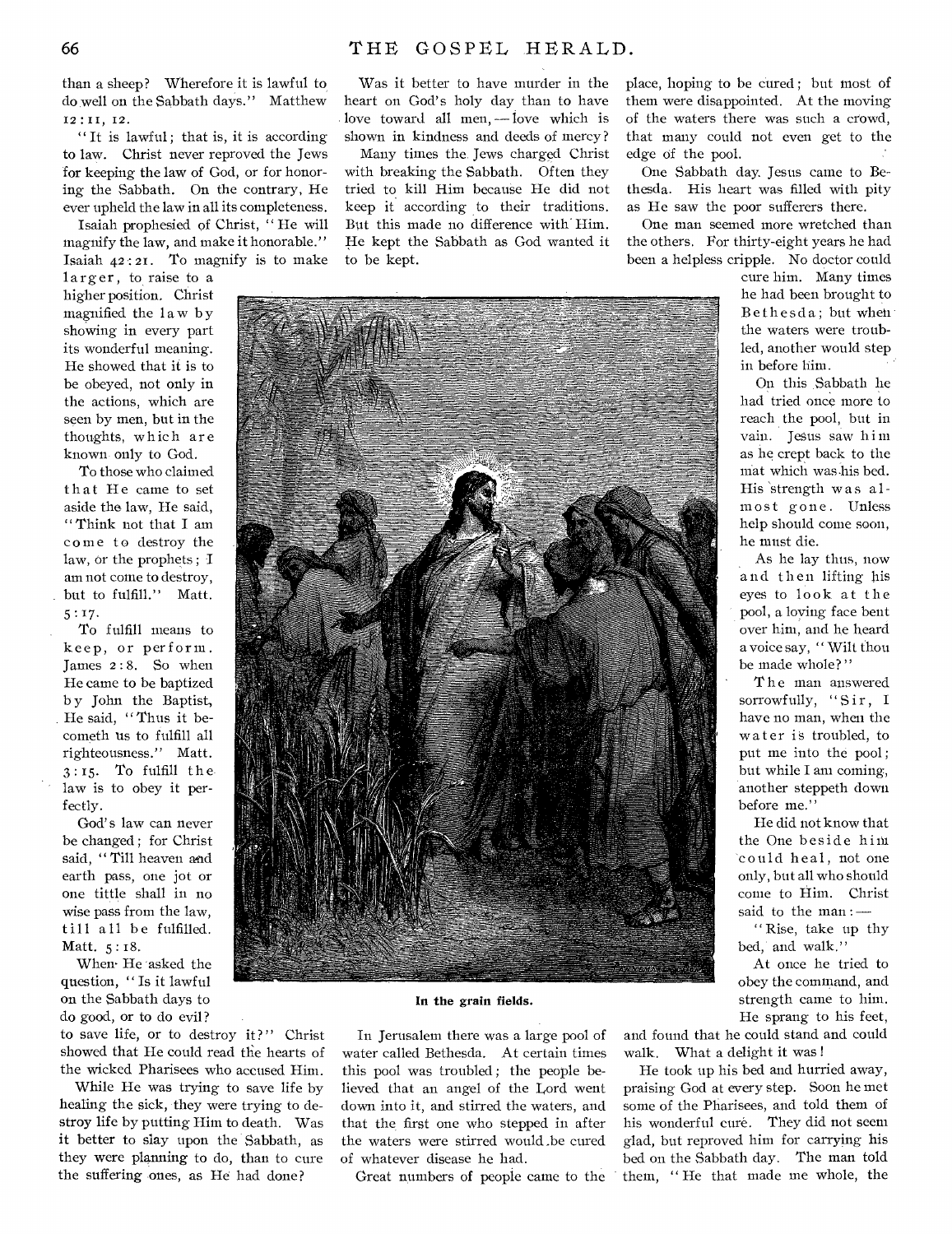than a sheep? Wherefore it is lawful to do well on the Sabbath days." Matthew 12 :II, 12.

" It is lawful ; that is, it is according to law. Christ never reproved the Jews for keeping the law of God, or for honoring the Sabbath. On the contrary, He ever upheld the law in all its completeness.

Isaiah prophesied of Christ, " He will magnify the law, and make it honorable." Isaiah  $42:21$ . To magnify is to make

larger, to raise to a higher position. Christ magnified the law by showing in every part its wonderful meaning. He showed that it is to be obeyed, not only in the actions, which are seen by men, but in the thoughts, which are known only to God.

To those who claimed that He came to set aside the law. He said, " Think not that I am come to destroy the law, or the prophets;  $I$ am not come to destroy, but to fulfill." Matt. 5 : 17.

To fulfill means to keep, or perform. James 2:8. So when He came to be baptized b y John the Baptist, He said, "Thus it becometh us to fulfill all righteousness." Matt.  $3:15.$  To fulfill the law is to obey it perfectly.

God's law can never be changed ; for Christ said, "Till heaven and earth pass, one jot or one tittle shall in no wise pass from the law, till all be fulfilled. Matt. 5:18.

When• He asked the question, " Is it lawful on the Sabbath days to do good, or to do evil?

to save life, or to destroy it?" Christ showed that He could read the hearts of the wicked Pharisees who accused Him.

While He was trying to save life by healing the sick, they were trying to destroy life by putting Him to death. Was it better to slay upon the Sabbath, as they were planning to do, than to cure the suffering ones, as He had done?

Was it better to have murder in the heart on God's holy day than to have love toward all men, -- love which is shown in kindness and deeds of mercy?

Many times the, Jews charged Christ with breaking the Sabbath. Often they tried to kill Him because He did not keep it according to their traditions. But this made no difference with' Him. He kept the Sabbath as God wanted it to be kept.

place, hoping to be cured ; but most of them were disappointed. At the moving of the waters there was such a crowd, that many could not even get to the edge of the pool.

> One Sabbath day. Jesus came to Bethesda. His heart was filled with pity as He saw the poor sufferers there.

> One man seemed more wretched than the others. For thirty-eight years he had been a helpless cripple. No doctor could

> > cure him. Many times he had been brought to Bethesda; but when the waters were troubled, another would step in before him.

On this .Sabbath he had tried once more to reach the pool, but in vain. Jesus saw him as he crept back to the mat which was his bed. His 'strength was a 1 most gone. Unless help should come soon, he must die.

As he lay thus, now and then lifting his eyes to look at the pool, a loving face bent over him, and he heard a voice say, " Wilt thou be made whole?"

The man answered sorrowfully, "Sir, I have no man, when the water is troubled, to put me into the pool ; but while I am coming, another steppeth down before me.'

He did not know that the One beside him 'could heal, not one only, but all who should conic to Him. Christ said to the man :-

" Rise, take up thy bed, and walk."

At once he tried to obey the command, and strength came to him. He sprang to his feet,

**In the grain fields.** 

In Jerusalem there was a large pool of water called Bethesda. At certain times this pool was troubled; the people believed that an angel of the Lord went down into it, and stirred the waters, and that the, first one who stepped in after the waters were stirred would .be cured of whatever disease he had.

Great numbers of people came to the

and found that he could stand and could walk. What a delight it was !

He took up his bed and hurried away, praising God at every step. Soon he met some of the Pharisees, and told them of his wonderful cure. They did not seem glad, but reproved him for carrying his bed on the Sabbath day. The man told them, " He that made me whole, the

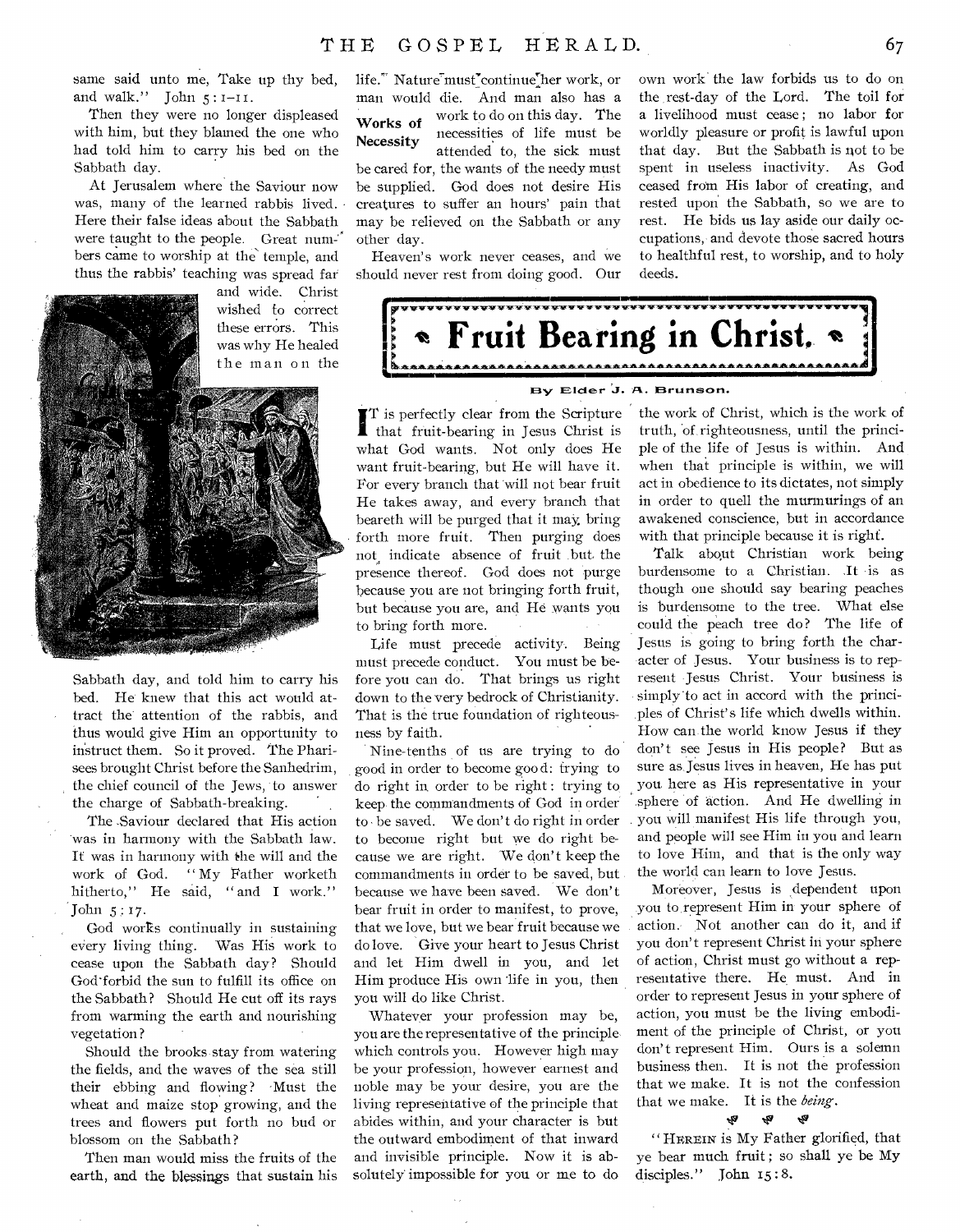same said unto me, Take up thy bed, and walk."  $John 5: I-I1.$ 

Then they were no longer displeased with him, but they blamed the one who had told him to carry his bed on the Sabbath day.

At Jerusalem where the Saviour now was, many of the learned rabbis lived. Here their false ideas about the Sabbath were taught to the people. Great numbers came to worship at the temple, and thus the rabbis' teaching was spread far

> and wide. Christ wished to correct these errors. This was why He healed the man on the



Sabbath day, and told him to carry his bed. He knew that this act would attract the attention of the rabbis, and thus would give Him an opportunity to instruct them. So it proved. The Pharisees brought Christ before the Sanhedrim, the chief council of the Jews, to answer the charge of Sabbath-breaking.

The Saviour declared that His action was in harmony with the Sabbath law. It was in harmony with the will and the work of God. "My Father worketh hitherto," He said, "and I work." John 5:17.

God works continually in sustaining every living thing. Was His work to cease upon the Sabbath day? Should God forbid the sun to fulfill its office on the Sabbath? Should He cut off its rays from warming the earth and nourishing vegetation?

Should the brooks stay from watering the fields, and the waves of the sea still their ebbing and flowing? Must the wheat and maize stop growing, and the trees and flowers put forth no bud or blossom on the Sabbath?

Then man would miss the fruits of the earth, and the blessings that sustain his

life." Nature must continue her work, or man would die. And man also has a work to do on this day. The Works of necessities of life must be Necessity attended to, the sick must be cared for, the wants of the needy must be supplied. God does not desire His creatures to suffer an hours' pain that may be relieved on the Sabbath or any other day.

Heaven's work never ceases, and we should never rest from doing good. Our

own work the law forbids us to do on the rest-day of the Lord. The toil for a livelihood must cease; no labor for worldly pleasure or profit is lawful upon that day. But the Sabbath is not to be spent in useless inactivity. As God ceased from His labor of creating, and rested upon the Sabbath, so we are to rest. He bids us lay aside our daily occupations, and devote those sacred hours to healthful rest, to worship, and to holy deeds.

![](_page_2_Picture_14.jpeg)

T is perfectly clear from the Scripture that fruit-bearing in Jesus Christ is what God wants. Not only does He want fruit-bearing, but He will have it. For every branch that will not bear fruit He takes away, and every branch that beareth will be purged that it may, bring forth more fruit. Then purging does not indicate absence of fruit but the presence thereof. God does not purge because you are not bringing forth fruit, but because you are, and He wants you to bring forth more.

Life must precede activity. Being must precede conduct. You must be before you can do. That brings us right down to the very bedrock of Christianity. That is the true foundation of righteousness by faith.

Nine-tenths of us are trying to do good in order to become good: trying to do right in order to be right: trying to keep the commandments of God in order to be saved. We don't do right in order to become right but we do right because we are right. We don't keep the commandments in order to be saved, but because we have been saved. We don't bear fruit in order to manifest, to prove. that we love, but we bear fruit because we do love. Give your heart to Jesus Christ and let Him dwell in you, and let Him produce His own life in you, then vou will do like Christ.

Whatever your profession may be, you are the representative of the principle which controls you. However high may be your profession, however earnest and noble may be your desire, you are the living representative of the principle that abides within, and your character is but the outward embodiment of that inward and invisible principle. Now it is absolutely impossible for you or me to do

the work of Christ, which is the work of truth, of righteousness, until the principle of the life of Jesus is within. And when that principle is within, we will act in obedience to its dictates, not simply in order to quell the murmurings of an awakened conscience, but in accordance with that principle because it is right.

Talk about Christian work being burdensome to a Christian. It is as though one should say bearing peaches is burdensome to the tree. What else could the peach tree do? The life of Jesus is going to bring forth the character of Jesus. Vour business is to represent Jesus Christ. Your business is simply to act in accord with the principles of Christ's life which dwells within. How can the world know Jesus if they don't see Jesus in His people? But as sure as Jesus lives in heaven, He has put you here as His representative in your sphere of action. And He dwelling in you will manifest His life through you, and people will see Him in you and learn to love Him, and that is the only way the world can learn to love Jesus.

Moreover, Jesus is dependent upon you to represent Him in your sphere of action. Not another can do it, and if you don't represent Christ in your sphere of action, Christ must go without a representative there. He must. And in order to represent Jesus in your sphere of action, you must be the living embodiment of the principle of Christ, or you don't represent Him. Ours is a solemn business then. It is not the profession that we make. It is not the confession that we make. It is the being.

"HEREIN is My Father glorified, that ye bear much fruit; so shall ye be My disciples." John 15:8.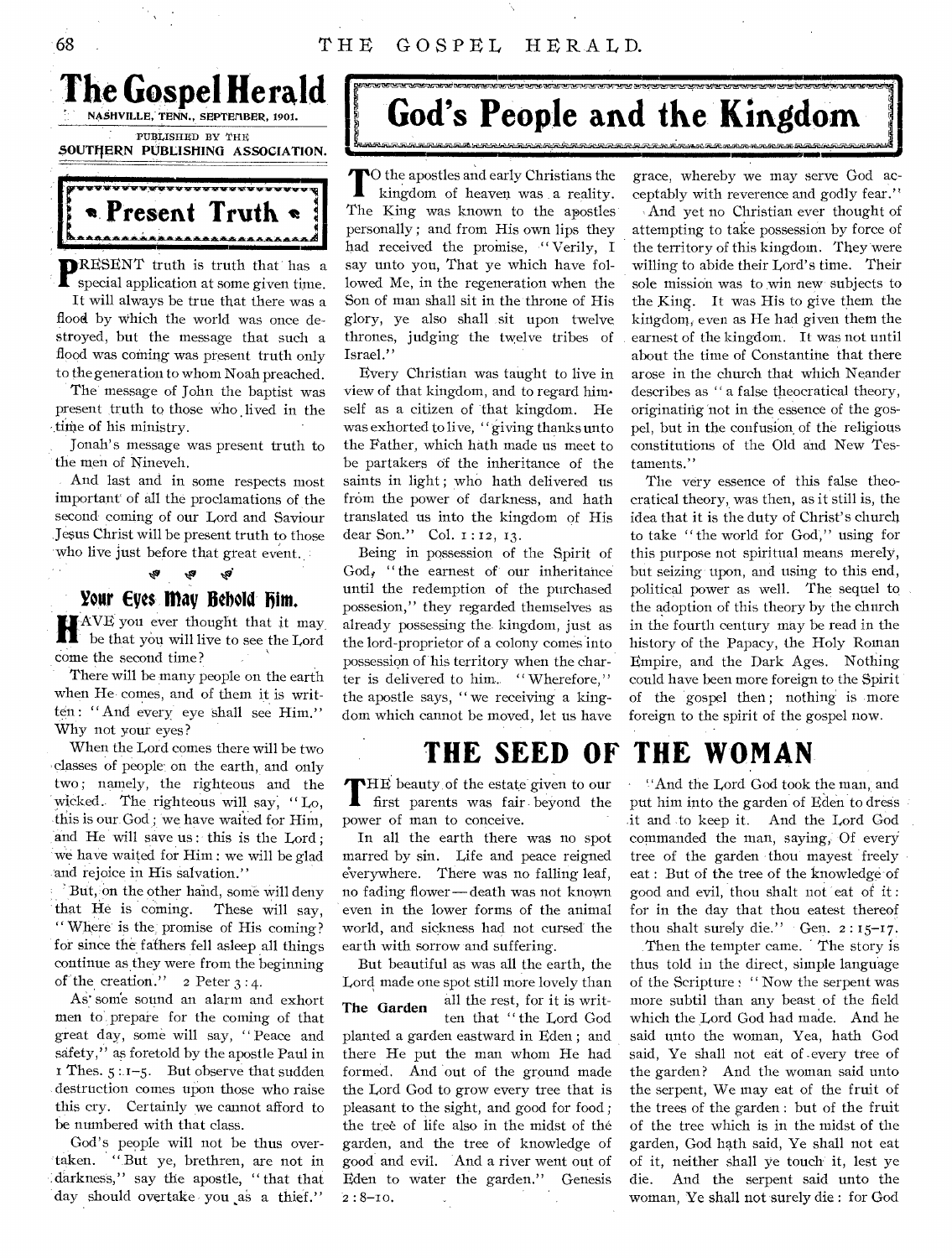![](_page_3_Picture_1.jpeg)

**\* Present Truth** \*\*\*\*\*\*\*\*\*\*\*\*\*\*\*\*\*\*\*

PRESENT truth is truth that has a special application at some given time. It will always be true that there was a

flood by which the world was once destroyed, but the message that such a flood was coming was present truth only to the generation to whom Noah preached.

The message of John the baptist was present truth to those who lived in the time of his ministry.

Jonah's message was present truth to the men of Nineveh.

And last and in some respects most important of all the proclamations of the second coming of our Lord and Saviour Jesus Christ will be present truth to those who live just before that great event.

# Your Eves May Bebold Fim.

وی

 $\begin{bmatrix} \text{AVE} \\ \text{ho} + \text{hot} \\ \text{m} \end{bmatrix}$ be that you will live to see the Lord come the second time?

There will be many people on the earth when He comes, and of them it is written: "And every eye shall see Him." Why not your eyes?

When the Lord comes there will be two classes of people on the earth, and only two; namely, the righteous and the wicked. The righteous will say, "Lo, this is our God; we have waited for Him, and He will save us: this is the Lord: we have waited for Him: we will be glad and rejoice in His salvation.'

But, on the other hand, some will deny that He is coming. These will say, "Where is the promise of His coming? for since the fathers fell asleep all things continue as they were from the beginning of the creation." 2 Peter  $3:4$ .

As some sound an alarm and exhort men to prepare for the coming of that great day, some will say, "Peace and safety," as foretold by the apostle Paul in I Thes.  $5:1-5$ . But observe that sudden destruction comes upon those who raise this cry. Certainly we cannot afford to be numbered with that class.

God's people will not be thus overtaken. "But ye, brethren, are not in darkness," say the apostle, "that that day should overtake you as a thief."

# God's People and the Kingdom

O the apostles and early Christians the kingdom of heaven was a reality. The King was known to the apostles personally; and from His own lips they had received the promise, "Verily, I say unto you, That ye which have followed Me, in the regeneration when the Son of man shall sit in the throne of His glory, ye also shall sit upon twelve thrones, judging the twelve tribes of Israel.'

Every Christian was taught to live in view of that kingdom, and to regard himself as a citizen of that kingdom. He was exhorted to live, "giving thanks unto the Father, which hath made us meet to be partakers of the inheritance of the saints in light; who hath delivered us from the power of darkness, and hath translated us into the kingdom of His dear Son." Col. 1:12, 13.

Being in possession of the Spirit of God, "the earnest of our inheritance until the redemption of the purchased possesion," they regarded themselves as already possessing the kingdom, just as the lord-proprietor of a colony comes into possession of his territory when the charter is delivered to him. "Wherefore," the apostle says, "we receiving a kingdom which cannot be moved, let us have

grace, whereby we may serve God acceptably with reverence and godly fear."

And yet no Christian ever thought of attempting to take possession by force of the territory of this kingdom. They were willing to abide their Lord's time. Their sole mission was to win new subjects to the King. It was His to give them the kingdom, even as He had given them the earnest of the kingdom. It was not until about the time of Constantine that there arose in the church that which Neander describes as " a false theocratical theory, originating not in the essence of the gospel, but in the confusion of the religious constitutions of the Old and New Testaments."

The very essence of this false theocratical theory, was then, as it still is, the idea that it is the duty of Christ's church to take "the world for God," using for this purpose not spiritual means merely, but seizing upon, and using to this end, political power as well. The sequel to the adoption of this theory by the church in the fourth century may be read in the history of the Papacy, the Holy Roman Empire, and the Dark Ages. Nothing could have been more foreign to the Spirit of the gospel then; nothing is more foreign to the spirit of the gospel now.

#### **THE SEED OF** THE WOMAN

THE beauty of the estate given to our<br>first parents was fair beyond the power of man to conceive.

In all the earth there was no spot marred by sin. Life and peace reigned everywhere. There was no falling leaf, no fading flower—death was not known even in the lower forms of the animal world, and sickness had not cursed the earth with sorrow and suffering.

But beautiful as was all the earth, the Lord made one spot still more lovely than all the rest, for it is writ-The Garden ten that "the Lord God planted a garden eastward in Eden; and there He put the man whom He had formed. And out of the ground made the Lord God to grow every tree that is pleasant to the sight, and good for food; the tree of life also in the midst of the garden, and the tree of knowledge of good and evil. And a river went out of Eden to water the garden." Genesis  $2:8-10.$ 

"And the Lord God took the man, and put him into the garden of Eden to dress it and to keep it. And the Lord God commanded the man, saying, Of every tree of the garden thou mayest freely eat : But of the tree of the knowledge of good and evil, thou shalt not eat of it: for in the day that thou eatest thereof thou shalt surely die." Gen. 2:15-17.

Then the tempter came. The story is thus told in the direct, simple language of the Scripture: "Now the serpent was more subtil than any beast of the field which the Lord God had made. And he said unto the woman, Yea, hath God said, Ye shall not eat of every tree of the garden? And the woman said unto the serpent, We may eat of the fruit of the trees of the garden: but of the fruit of the tree which is in the midst of the garden, God hath said, Ye shall not eat of it, neither shall ye touch it, lest ye die. And the serpent said unto the woman, Ye shall not surely die: for God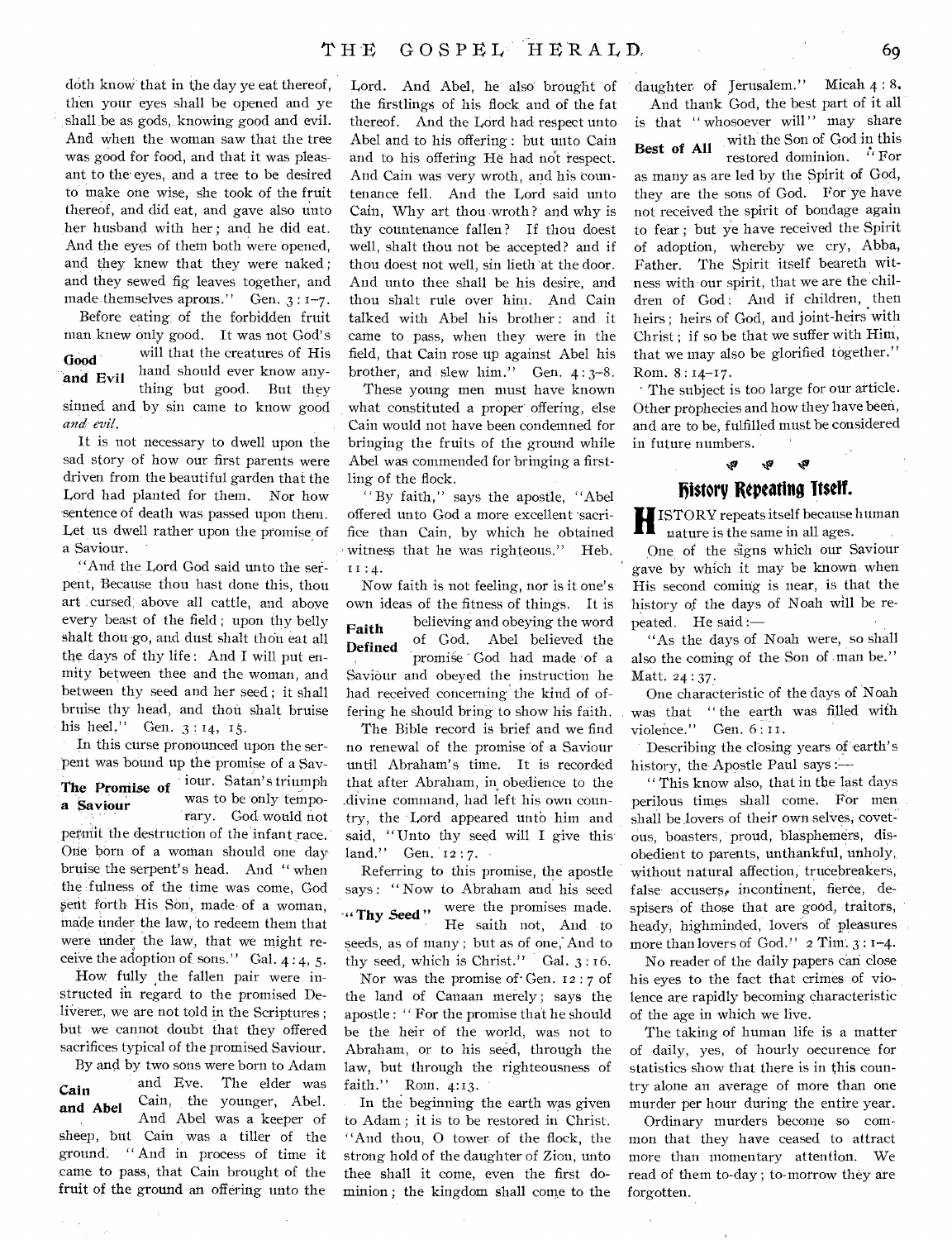doth know that in the day ye eat thereof, then your eyes shall be opened and ye shall be as gods, knowing good and evil. And when the woman saw that the tree was good for food, and that it was pleasant to the eyes, and a tree to be desired to make one wise, she took of the fruit thereof, and did eat, and gave also unto her husband with her; and he did eat. And the eyes of them both were opened, and they knew that they were naked ; and they sewed fig leaves together, and made themselves aprons." Gen. 3: 1-7.

Before eating of the forbidden fruit man knew only good. It was not God's Good will that the creatures of His and Evil hand should ever know anything but good. But they sinned and by sin came to know good and evil.

It is not necessary to dwell upon the sad story of how our first parents were driven from the beautiful garden that the Lord had planted for them. Nor how sentence of death was passed upon them. Let us dwell rather upon the promise of a Saviour.

"And the Lord God said unto the serpent, Because thou hast done this, thou art cursed above all cattle, and above every beast of the field ; upon thy belly shalt thou go, and dust shalt thou eat all the days of thy life : And I will put enmity between thee and the woman, and between thy seed and her seed ; it shall bruise thy head, and thou shalt bruise his heel." Gen. 3 : 14, 15.

In this curse pronounced upon the serpent was bound up the promise of a Sav-The Promise of iour. Satan's triumph  $\overline{a}$  Saviour was to be only tempo-

rary. God would not permit the destruction of the infant race. One born of a woman should one day bruise the serpent's head. And " when the fulness of the time was come, God sent forth His Son, made of a woman, made under the law, to redeem them that were under the law, that we might receive the adoption of, sons." Gal. 4 : 4, 5.

How fully the fallen pair were instructed in regard to the promised Deliverer, we are not told in the Scriptures ; but we cannot doubt that they offered sacrifices typical of the promised Saviour.

By and by two sons were born to Adam Cain and Eve. The elder was and Abel Cain, the younger, Abel. And Abel was a keeper of sheep, but Cain was a tiller of the ground. " And in process of time it came to pass, that Cain brought of the fruit of the ground an offering unto the

Lord. And Abel, he also brought of the firstlings of his flock and of the fat thereof. And the Lord had respect unto Abel and to his offering : but unto Cain and to his offering He had not respect. And Cain was very wroth, and his countenance fell. And the Lord said unto Cain, Why art thou wroth ? and why is thy countenance fallen ? If thou doest well, shalt thou not be accepted? and if thou doest not well, sin lieth at the door. And unto thee shall be his desire, and thou shalt rule over him. And Cain talked with Abel his brother : and it came to pass, when they were in the field, that Cain rose up against Abel his brother, and slew him." Gen.  $4:3-8$ .

These young men must have known what constituted a proper offering, else Cain would not have been condemned for bringing the fruits of the ground while Abel was commended for bringing a firstling of the flock.

" By faith," says the apostle, "Abel offered unto God a more excellent sacrifice than Cain, by which he obtained witness that he was righteous." Heb. 11 : 4.

Now faith is not feeling, nor is it one's own ideas of the fitness of things. It is believing and obeying the word of God. Abel believed the promise God had made of a Saviour and obeyed the instruction he had received concerning the kind of offering he should bring to show his faith. Faith Defined

The Bible record is brief and we find no renewal of the promise of a Saviour until Abraham's time. It is recorded that after Abraham, in obedience to the .divine command, had left his own country, the Lord appeared unto him and said, " Unto thy seed will I give this land." Gen. 12:7.

Referring to this promise, the apostle says : " Now to Abraham and his seed  $\cdot$  Thy Seed" were the promises made. He saith not, And to seeds, as of many; but as of one, And to thy seed, which is Christ." Gal. 3 : 16.

Nor was the promise of Gen. 12:7 of the land of Canaan merely ; says the apostle : " For the promise that he should be the heir of the world, was not to Abraham, or to his seed, through the law, but through the righteousness of faith." Rom. 4:13.

In the beginning the earth was given to Adam ; it is to be restored in Christ. "And thou, 0 tower of the flock, the strong hold of the daughter of Zion, unto thee shall it come, even the first dominion ; the kingdom shall come to the

daughter of Jerusalem." Micah 4:8. And thank God, the best part of it all

is that "whosoever will" may share Best of All with the Son of God in this

restored dominion. " For as many as are led by the Spirit of God, they are the sons of God. For ye have not received the spirit of bondage again to fear ; but ye have received the Spirit of adoption, whereby we cry, Abba, Father. The Spirit itself beareth witness with our spirit, that we are the children of God: And if children, then heirs ; heirs of God, and joint-heirs with Christ ; if so be that we suffer with Him, that we may also be glorified together." Rom. 8 : 14-17.

' The subject is too large for our article. Other prophecies and how they have been, and are to be, fulfilled must be considered in future numbers.

# *history*. Repeating Ttself.

 $\mathbf{q}_i$ 

**H** ISTORY repeats itself because human<br> **H** aature is the same in all ages. nature is the same in all ages.

One of the signs which our Saviour gave by which it may be known when His second coming is near, is that the history of the days of Noah will be repeated. He said :—

"As the days of Noah were, so shall also the coming of the Son of man be." Matt. 24 : 37.

One characteristic of the days of Noah was that " the earth was filled with violence." Gen. 6:11.

Describing the closing years of earth's history, the Apostle Paul says :—

" This know also, that in the last days perilous times shall come. For men shall be lovers of their own selves, covetous, boasters, proud, blasphemers, disobedient to parents, unthankful, unholy, without natural affection, trucebreakers, false accusers, incontinent, fierce, despisers of those that are good, traitors, heady, highminded, lovers of pleasures more than lovers of God." 2 Tim. 3 : 1-4.

No reader of the daily papers can close his eyes to the fact that crimes of violence are rapidly becoming characteristic of the age in which we live.

The taking of human life is a matter of daily, yes, of 'hourly occurence for statistics show that there is in this country alone an average of more than one murder per hour during the entire year.

Ordinary murders become so common that they have ceased to attract more than momentary attention. We read of them to-day ; to-morrow they are forgotten.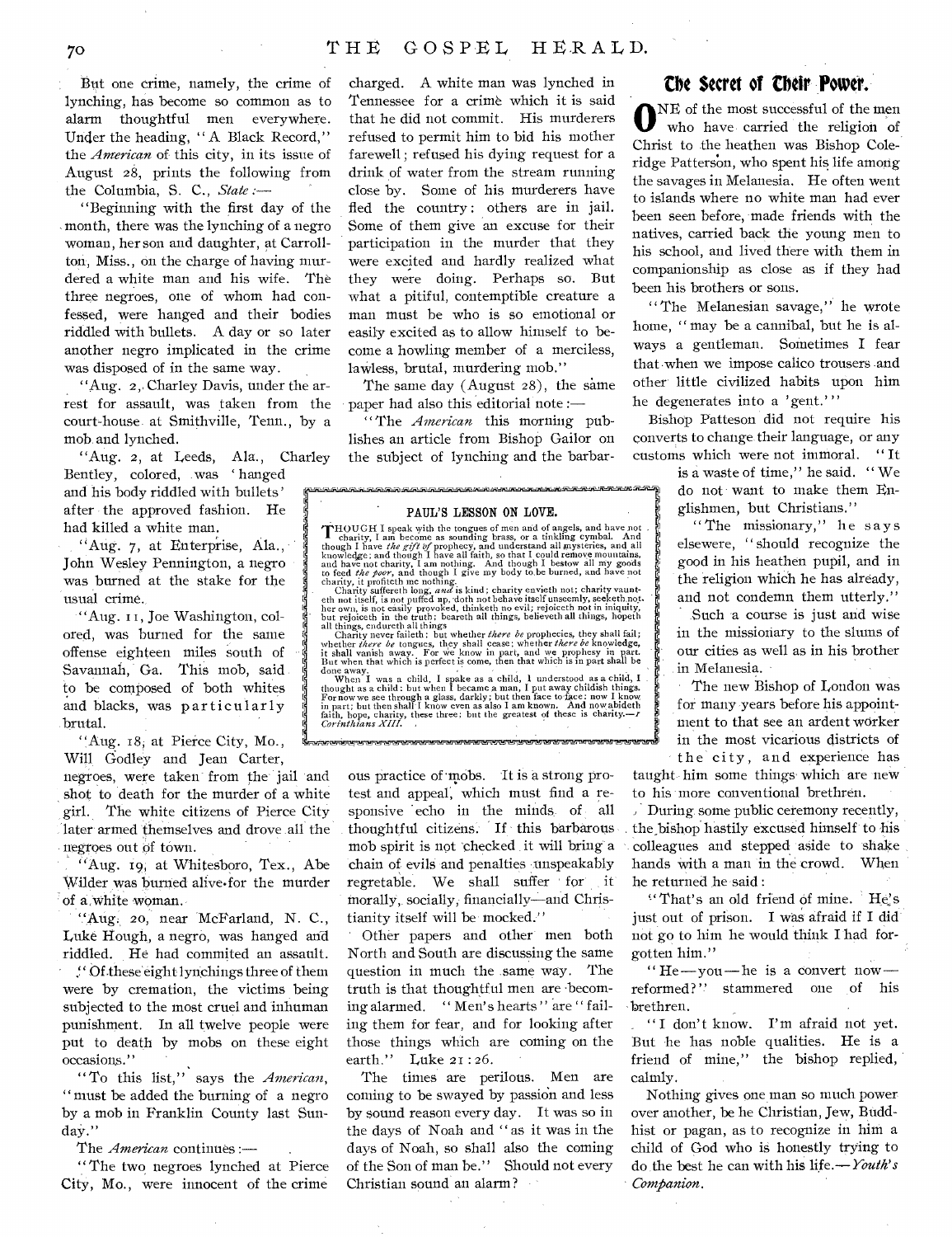But one crime, namely, the crime of lynching, has become so common as to alarm thoughtful men everywhere. Under the heading, " A Black Record," the *American* of this city, in its issue of August 28, prints the following from the Columbia, S. C., *State :—* 

"Beginning with the first day of the month, there was the lynching of a negro woman, her son and daughter, at Carrollton, Miss., on the charge of having murdered a white man and his wife. The three negroes, one of whom had confessed, were hanged and their bodies riddled with bullets. A day or so later another negro implicated in the crime was disposed of in the same way.

"Aug. 2,. Charley Davis, under the arrest for assault, was taken from the court-house at Smithville, Tenn., by a mob and lynched.

"Aug. 2, at Leeds, Ala., Charley Bentley, colored, was ' hanged

and his body riddled with bullets' after the approved fashion. He had killed a white man.

 $"Aug. 7, at Enterprise, Ala.,$ John Wesley Pennington, a negro was burned at the stake for the usual crime..

"Aug. II, Joe Washington, colored, was burned for the same offense eighteen miles south of Savannah, Ga. This mob, said to be composed of both whites and blacks, was particularly brutal.

"Aug. 18, at Pierce City, Mo., Will Godley and Jean Carter,

negroes, were taken from the jail and shot to death for the murder of a white girl. The white citizens of Pierce City later armed themselves and drove all the negroes out of town.

"Aug. 19, at Whitesboro, Tex., Abe Wilder was burned alive for the murder of a<white woman.

"Aug. 20, near McFarland, N. C., Luke Hough, a negro, was hanged and riddled. He had commited an assault. Of -these eight lynchings three of them were by cremation, the victims being subjected to the most cruel and inhuman punishment. In all twelve people were put to death by mobs on these eight occasions."

" To this list," says the *American, "* must be added the burning of a negro by a mob in Franklin County last Sunday."

The *American* continues :—

" The two negroes lynched at Pierce City, Mo., were innocent of the crime charged. A white man was lynched in Tennessee for a crime which it is said that he did not commit. His murderers refused to permit him to bid his mother farewell ; refused his dying request for a drink of water from the stream running close by. Some of his murderers have fled the country: others are in jail. Some of them give an excuse for their participation in the murder that they were excited and hardly realized what they were doing. Perhaps so. But what a pitiful, contemptible creature a man must be who is so emotional or easily excited as to allow himself to become a howling member of a merciless, lawless, brutal, murdering mob."

The same day  $(August 28)$ , the same paper had also this editorial note :—

" The *American* this morning publishes an article from Bishop Gailor on the subject of lynching and the barbar-

a a a a a a

#### PAUL'S LESSON ON LOVE.

**T**HOUGH I speak with the tongues of men and of angels, and have not<br>though I have the come as sounding brass, or a tinkling cynubal. And<br>though I have the gift of prophecy, and understand all mysteries, and all<br>knowledge

all things, endureth all things<br>
Charity never faileth : but whether there be prophecies, they shall fail;<br>
Charity never faileth : but whether there be the whether there be knowledge,<br>
it shall vanish away. For we know i

done away.<br>When I was a child, I spake as a child, 1 understood as a child, I<br>thought as a child : but when I became a man, I put away childish things.<br>For now we see through a glass, darkly; but then face to face: now I k

ous practice of mobs. It is a strong protest and appeal, which must find a responsive 'echo in the minds of all thoughtful citizens. If this barbarous mob spirit is not checked it will bring a chain of evils and penalties unspeakably regretable. We shall suffer for it morally, socially, financially—and Christianity itself will be mocked."

Other papers and other men both North and South are discussing the same question in much the same way. The truth is that thoughtful men are -becoming alarmed. " Men's hearts" are "failing them for fear, and for looking after those things which are coming on the earth." Luke 21:26.

The times are perilous. Men are coming to be swayed by passion and less by sound reason every day. It was so in the days of Noah and " as it was in the days of Noah, so shall also the coming of the Son of man be." Should not every Christian sound an alarm?

# **the Secret of their Power.**

 $\mathbf{0}$ NE of the most successful of the men who have carried the religion of Christ to the heathen was Bishop Coleridge Patters'on, who spent his life among the savages in Melanesia. He often went to islands where no white man had ever been seen before, made friends with the natives, carried back the young men to his school, and lived there with them in companionship as close as if they had been his brothers or sons.

" The Melanesian savage," he wrote home, " may be a cannibal, but he is always a gentleman. Sometimes I fear that -when we impose calico trousers .and other little civilized habits upon him he degenerates into a 'gent.'"

Bishop Patteson did not require his converts to change their language, or any customs which were not immoral. " It

> is a waste of time," he said. " We do not want to make them Englishmen, but Christians."

> "The missionary," he says elsewere, " should recognize the good in his heathen pupil, and in the religion which he has already, and not condemn them utterly."

> Such a course is just and wise in the missionary to the slums of our cities as well as in his brother in Melanesia.

> The new Bishop of London was for many years before his appointment to that see an ardent worker in the most vicarious districts of the city, and experience has

taught him some things• which are new to his more conventional brethren.

 $\Box$  During some public ceremony recently, the bishop hastily excused himself to his colleagues and stepped aside to shake hands with a man in the crowd. When he returned he said :

"That's an old friend of mine. He's just out of prison. I was afraid if I did not go to him he would think I had forgotten him."

" He—you—he is a convert now—<br>reformed?" stammered one of his stammered one of his brethren.

"I don't know. I'm afraid not yet. But he has noble qualities. He is a friend of mine," the bishop replied, calmly.

Nothing gives one man so much power over another, be he Christian, Jew, Buddhist or pagan, as to recognize in him a child of God who is honestly trying to do, the best he can with his life.— *Youth's Companion.*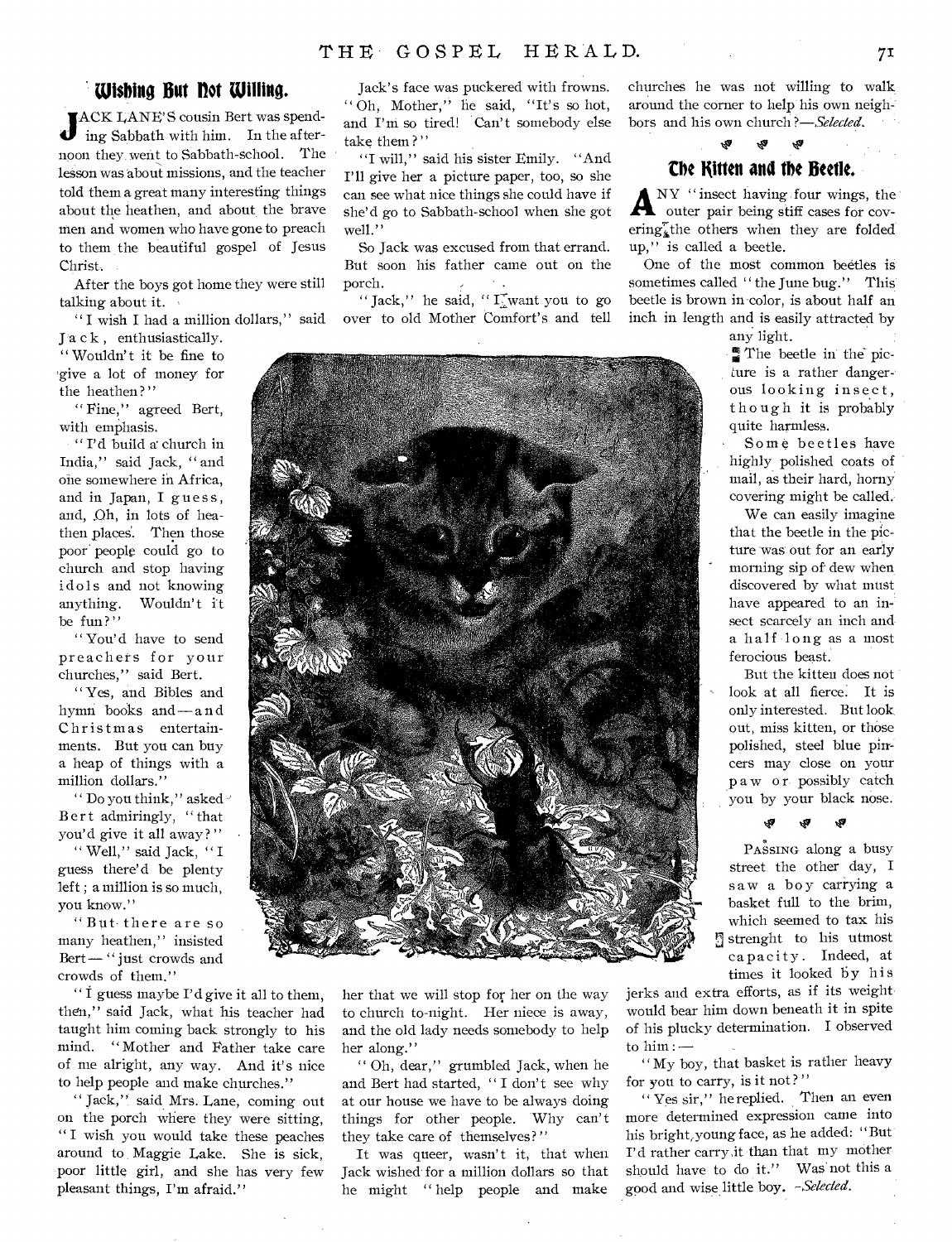# **Wishing But not Willing.**

IACK LANE'S cousin Bert was spending Sabbath with him. In the afternoon they went to Sabbath-school. The lesson was about missions, and the teacher told them a great many interesting things about the heathen, and about the brave men and women who have gone to preach to them the beautiful gospel of Jesus Christ.

After the boys got home they were still talking about it.

"I wish I had a million dollars," said

Jack, enthusiastically. " Wouldn't it be fine to give a lot of money for the heathen?"

" Fine," agreed Bert, with emphasis.

" I'd build a church in India," said Jack, " and one somewhere in Africa, and in Japan, I guess, and, Oh, in lots of heathen places'. Then those poor people could go to church and stop having idols and not knowing anything. Wouldn't it be fun?"

" You'd have to send preachers for your churches," said Bert.

" Yes, and Bibles and hymn books and — a n d Christmas entertainments. But you can buy a heap of things with a million dollars."

" Do you think," asked Bert admiringly, " that you'd give it all away?"

" Well," said Jack, " I guess there'd be plenty left ; a million is so much, you know."

"But there are so many heathen," insisted Bert-"just crowds and crowds of them."

" I guess maybe I'd give it all to them, then," said Jack, what his teacher had taught him coming back strongly to his mind. " Mother and Father take care of me alright, any way. And it's nice to help people and make churches."

"Jack," said Mrs. Lane, coming out on the porch where they were sitting, "I wish you would take these peaches around to Maggie Lake. She is sick, poor little girl, and she has very few pleasant things, I'm afraid."

Jack's face was puckered with frowns. " Oh, Mother," he said, "It's so hot, and I'm so tired! Can't somebody else take them?"

"I will," said his sister Emily. "And I'll give her a picture paper, too, so she can see what nice things she could have if she'd go to Sabbath-school when she got well."

So Jack was excused from that errand. But soon his father came out on the porch.

"Jack," he said, "I want you to go over to old Mother Comfort's and tell

![](_page_6_Picture_19.jpeg)

her that we will stop for her on the way to church to-night. Her niece is away, and the old lady needs somebody to help her along."

" Oh, dear," grumbled Jack, when he and Bert had started, " I don't see why at our house we have to be always doing things for other people. Why can't they take care of themselves?"

It was queer, wasn't it, that when Jack wished for a million dollars so that he might " help people and make

churches he was not willing to walk around the corner to help his own neigh- hors and his own church *?—Selected.* 

# **the Kitten and the Beetle.**

tri

ANY "insect having four wings, the NY " insect having four wings, the ering<sup>"</sup> the others when they are folded up," is called a beetle.

One of the most common beetles is sometimes called "the June bug." This beetle is brown in color, is about half an inch in length and is easily attracted by

any light.

The beetle in the pic-Lure is a rather dangerous looking insect, though it is probably quite harmless.

Some beetles have highly polished coats of mail, as their hard, horny covering might be called.

We can easily imagine that the beetle in the picture was out for an early morning sip of dew when discovered by what must have appeared to an insect scarcely an inch and a half long as a most ferocious beast.

But the kitten does not look at all fierce. It is only interested. But look out, miss kitten, or those polished, steel blue pincers may close on your paw or possibly catch you by your black nose.

لګ

PASSING along a busy street the other day, I saw a boy carrying a basket full to the brim, which seemed to tax his strenght to his utmost capacity. Indeed, at times it looked by his

jerks and extra efforts, as if its weight would bear him down beneath it in spite of his plucky determination. I observed to him : —

" My boy, that basket is rather heavy for you to carry, is it not?"

" Yes sir," he replied. Then an even more determined expression came into his bright,young face, as he added: "But I'd rather carry ,it than that my mother should have to do it." Was not this a good and wise little boy. *-Selected.*